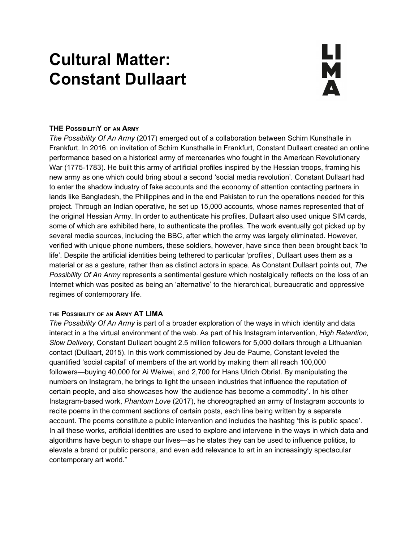# **Cultural Matter: Constant Dullaart**

# <u>LI</u><br>M  $\blacktriangle$

### **THE POSSIBILITIY OF AN ARMY**

*The Possibility Of An Army* (2017) emerged out of a collaboration between Schirn Kunsthalle in Frankfurt. In 2016, on invitation of Schirn Kunsthalle in Frankfurt, Constant Dullaart created an online performance based on a historical army of mercenaries who fought in the American Revolutionary War (1775-1783). He built this army of artificial profiles inspired by the Hessian troops, framing his new army as one which could bring about a second 'social media revolution'. Constant Dullaart had to enter the shadow industry of fake accounts and the economy of attention contacting partners in lands like Bangladesh, the Philippines and in the end Pakistan to run the operations needed for this project. Through an Indian operative, he set up 15,000 accounts, whose names represented that of the original Hessian Army. In order to authenticate his profiles, Dullaart also used unique SIM cards, some of which are exhibited here, to authenticate the profiles. The work eventually got picked up by several media sources, including the BBC, after which the army was largely eliminated. However, verified with unique phone numbers, these soldiers, however, have since then been brought back 'to life'. Despite the artificial identities being tethered to particular 'profiles', Dullaart uses them as a material or as a gesture, rather than as distinct actors in space. As Constant Dullaart points out, *The Possibility Of An Army* represents a sentimental gesture which nostalgically reflects on the loss of an Internet which was posited as being an 'alternative' to the hierarchical, bureaucratic and oppressive regimes of contemporary life.

#### **THE POSSIBILITY OF AN ARMY AT LIMA**

*The Possibility Of An Army* is part of a broader exploration of the ways in which identity and data interact in a the virtual environment of the web. As part of his Instagram intervention, *High Retention, Slow Delivery*, Constant Dullaart bought 2.5 million followers for 5,000 dollars through a Lithuanian contact (Dullaart, 2015). In this work commissioned by Jeu de Paume, Constant leveled the quantified 'social capital' of members of the art world by making them all reach 100,000 followers—buying 40,000 for Ai Weiwei, and 2,700 for Hans Ulrich Obrist. By manipulating the numbers on Instagram, he brings to light the unseen industries that influence the reputation of certain people, and also showcases how 'the audience has become a commodity'. In his other Instagram-based work, *Phantom Love* (2017), he choreographed an army of Instagram accounts to recite poems in the comment sections of certain posts, each line being written by a separate account. The poems constitute a public intervention and includes the hashtag 'this is public space'. In all these works, artificial identities are used to explore and intervene in the ways in which data and algorithms have begun to shape our lives—as he states they can be used to influence politics, to elevate a brand or public persona, and even add relevance to art in an increasingly spectacular contemporary art world."